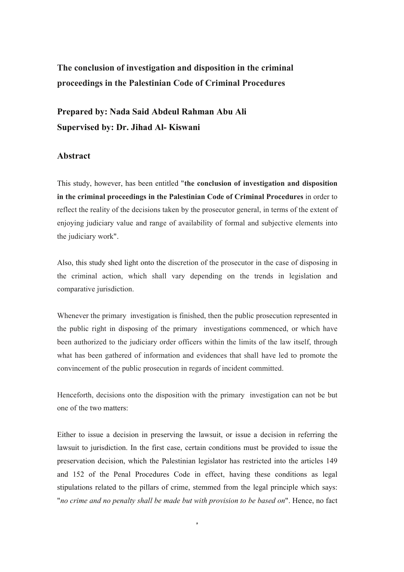## **The conclusion of investigation and disposition in the criminal proceedings in the Palestinian Code of Criminal Procedures**

## **Prepared by: Nada Said Abdeul Rahman Abu Ali Supervised by: Dr. Jihad Al- Kiswani**

## **Abstract**

This study, however, has been entitled "**the conclusion of investigation and disposition in the criminal proceedings in the Palestinian Code of Criminal Procedures** in order to reflect the reality of the decisions taken by the prosecutor general, in terms of the extent of enjoying judiciary value and range of availability of formal and subjective elements into the judiciary work".

Also, this study shed light onto the discretion of the prosecutor in the case of disposing in the criminal action, which shall vary depending on the trends in legislation and comparative jurisdiction.

Whenever the primary investigation is finished, then the public prosecution represented in the public right in disposing of the primary investigations commenced, or which have been authorized to the judiciary order officers within the limits of the law itself, through what has been gathered of information and evidences that shall have led to promote the convincement of the public prosecution in regards of incident committed.

Henceforth, decisions onto the disposition with the primary investigation can not be but one of the two matters:

Either to issue a decision in preserving the lawsuit, or issue a decision in referring the lawsuit to jurisdiction. In the first case, certain conditions must be provided to issue the preservation decision, which the Palestinian legislator has restricted into the articles 149 and 152 of the Penal Procedures Code in effect, having these conditions as legal stipulations related to the pillars of crime, stemmed from the legal principle which says: "*no crime and no penalty shall be made but with provision to be based on*". Hence, no fact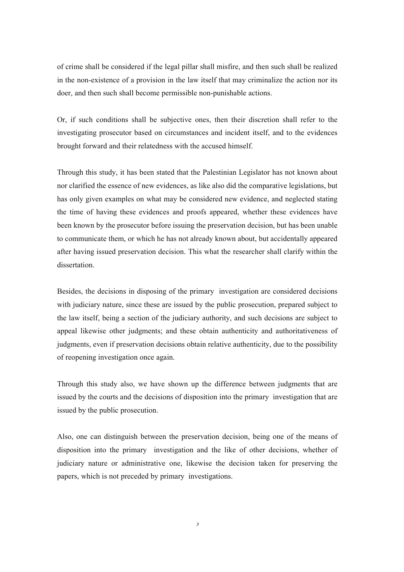of crime shall be considered if the legal pillar shall misfire, and then such shall be realized in the non-existence of a provision in the law itself that may criminalize the action nor its doer, and then such shall become permissible non-punishable actions.

Or, if such conditions shall be subjective ones, then their discretion shall refer to the investigating prosecutor based on circumstances and incident itself, and to the evidences brought forward and their relatedness with the accused himself.

Through this study, it has been stated that the Palestinian Legislator has not known about nor clarified the essence of new evidences, as like also did the comparative legislations, but has only given examples on what may be considered new evidence, and neglected stating the time of having these evidences and proofs appeared, whether these evidences have been known by the prosecutor before issuing the preservation decision, but has been unable to communicate them, or which he has not already known about, but accidentally appeared after having issued preservation decision. This what the researcher shall clarify within the dissertation.

Besides, the decisions in disposing of the primary investigation are considered decisions with judiciary nature, since these are issued by the public prosecution, prepared subject to the law itself, being a section of the judiciary authority, and such decisions are subject to appeal likewise other judgments; and these obtain authenticity and authoritativeness of judgments, even if preservation decisions obtain relative authenticity, due to the possibility of reopening investigation once again.

Through this study also, we have shown up the difference between judgments that are issued by the courts and the decisions of disposition into the primary investigation that are issued by the public prosecution.

Also, one can distinguish between the preservation decision, being one of the means of disposition into the primary investigation and the like of other decisions, whether of judiciary nature or administrative one, likewise the decision taken for preserving the papers, which is not preceded by primary investigations.